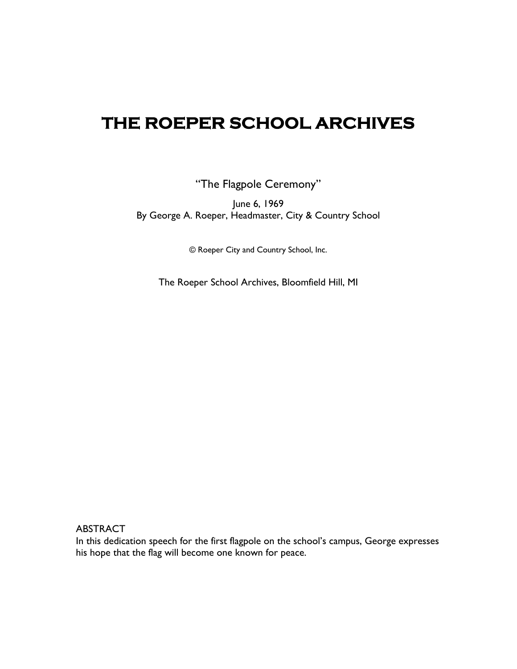## **THE ROEPER SCHOOL ARCHIVES**

"The Flagpole Ceremony"

June 6, 1969 By George A. Roeper, Headmaster, City & Country School

© Roeper City and Country School, Inc.

The Roeper School Archives, Bloomfield Hill, MI

ABSTRACT

In this dedication speech for the first flagpole on the school's campus, George expresses his hope that the flag will become one known for peace.